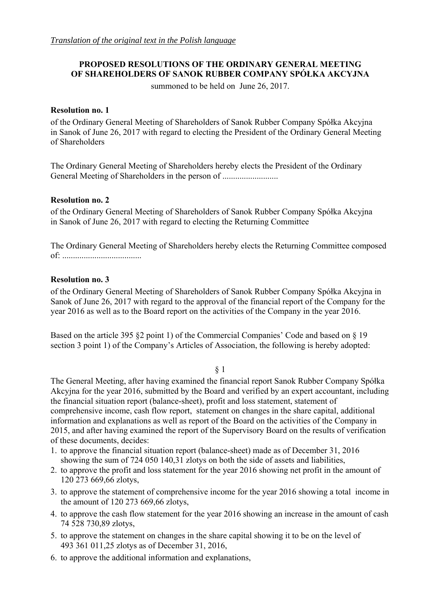# **PROPOSED RESOLUTIONS OF THE ORDINARY GENERAL MEETING OF SHAREHOLDERS OF SANOK RUBBER COMPANY SPÓŁKA AKCYJNA**

summoned to be held on June 26, 2017.

### **Resolution no. 1**

of the Ordinary General Meeting of Shareholders of Sanok Rubber Company Spółka Akcyjna in Sanok of June 26, 2017 with regard to electing the President of the Ordinary General Meeting of Shareholders

The Ordinary General Meeting of Shareholders hereby elects the President of the Ordinary General Meeting of Shareholders in the person of ................................

### **Resolution no. 2**

of the Ordinary General Meeting of Shareholders of Sanok Rubber Company Spółka Akcyjna in Sanok of June 26, 2017 with regard to electing the Returning Committee

The Ordinary General Meeting of Shareholders hereby elects the Returning Committee composed of: .....................................

### **Resolution no. 3**

of the Ordinary General Meeting of Shareholders of Sanok Rubber Company Spółka Akcyjna in Sanok of June 26, 2017 with regard to the approval of the financial report of the Company for the year 2016 as well as to the Board report on the activities of the Company in the year 2016.

Based on the article 395 §2 point 1) of the Commercial Companies' Code and based on § 19 section 3 point 1) of the Company's Articles of Association, the following is hereby adopted:

#### § 1

The General Meeting, after having examined the financial report Sanok Rubber Company Spółka Akcyjna for the year 2016, submitted by the Board and verified by an expert accountant, including the financial situation report (balance-sheet), profit and loss statement, statement of comprehensive income, cash flow report, statement on changes in the share capital, additional information and explanations as well as report of the Board on the activities of the Company in 2015, and after having examined the report of the Supervisory Board on the results of verification of these documents, decides:

- 1. to approve the financial situation report (balance-sheet) made as of December 31, 2016 showing the sum of 724 050 140,31 zlotys on both the side of assets and liabilities,
- 2. to approve the profit and loss statement for the year 2016 showing net profit in the amount of 120 273 669,66 zlotys,
- 3. to approve the statement of comprehensive income for the year 2016 showing a total income in the amount of 120 273 669,66 zlotys,
- 4. to approve the cash flow statement for the year 2016 showing an increase in the amount of cash 74 528 730,89 zlotys,
- 5. to approve the statement on changes in the share capital showing it to be on the level of 493 361 011,25 zlotys as of December 31, 2016,
- 6. to approve the additional information and explanations,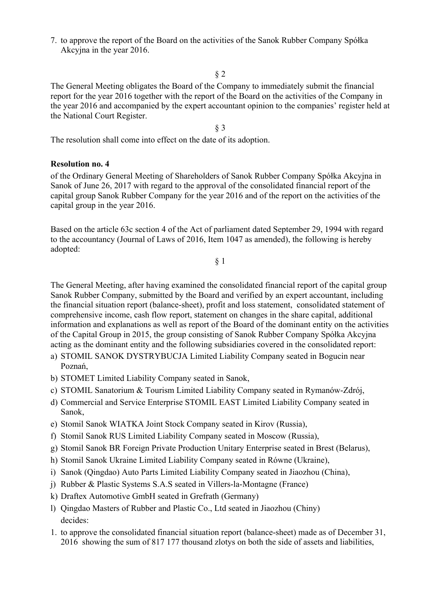7. to approve the report of the Board on the activities of the Sanok Rubber Company Spółka Akcyjna in the year 2016.

### § 2

The General Meeting obligates the Board of the Company to immediately submit the financial report for the year 2016 together with the report of the Board on the activities of the Company in the year 2016 and accompanied by the expert accountant opinion to the companies' register held at the National Court Register.

§ 3

The resolution shall come into effect on the date of its adoption.

### **Resolution no. 4**

of the Ordinary General Meeting of Shareholders of Sanok Rubber Company Spółka Akcyjna in Sanok of June 26, 2017 with regard to the approval of the consolidated financial report of the capital group Sanok Rubber Company for the year 2016 and of the report on the activities of the capital group in the year 2016.

Based on the article 63c section 4 of the Act of parliament dated September 29, 1994 with regard to the accountancy (Journal of Laws of 2016, Item 1047 as amended), the following is hereby adopted:

§ 1

The General Meeting, after having examined the consolidated financial report of the capital group Sanok Rubber Company, submitted by the Board and verified by an expert accountant, including the financial situation report (balance-sheet), profit and loss statement, consolidated statement of comprehensive income, cash flow report, statement on changes in the share capital, additional information and explanations as well as report of the Board of the dominant entity on the activities of the Capital Group in 2015, the group consisting of Sanok Rubber Company Spółka Akcyjna acting as the dominant entity and the following subsidiaries covered in the consolidated report:

- a) STOMIL SANOK DYSTRYBUCJA Limited Liability Company seated in Bogucin near Poznań,
- b) STOMET Limited Liability Company seated in Sanok,
- c) STOMIL Sanatorium & Tourism Limited Liability Company seated in Rymanów-Zdrój,
- d) Commercial and Service Enterprise STOMIL EAST Limited Liability Company seated in Sanok,
- e) Stomil Sanok WIATKA Joint Stock Company seated in Kirov (Russia),
- f) Stomil Sanok RUS Limited Liability Company seated in Moscow (Russia),
- g) Stomil Sanok BR Foreign Private Production Unitary Enterprise seated in Brest (Belarus),
- h) Stomil Sanok Ukraine Limited Liability Company seated in Równe (Ukraine),
- i) Sanok (Qingdao) Auto Parts Limited Liability Company seated in Jiaozhou (China),
- j) Rubber & Plastic Systems S.A.S seated in Villers-la-Montagne (France)
- k) Draftex Automotive GmbH seated in Grefrath (Germany)
- l) Qingdao Masters of Rubber and Plastic Co., Ltd seated in Jiaozhou (Chiny) decides:
- 1. to approve the consolidated financial situation report (balance-sheet) made as of December 31, 2016 showing the sum of 817 177 thousand zlotys on both the side of assets and liabilities,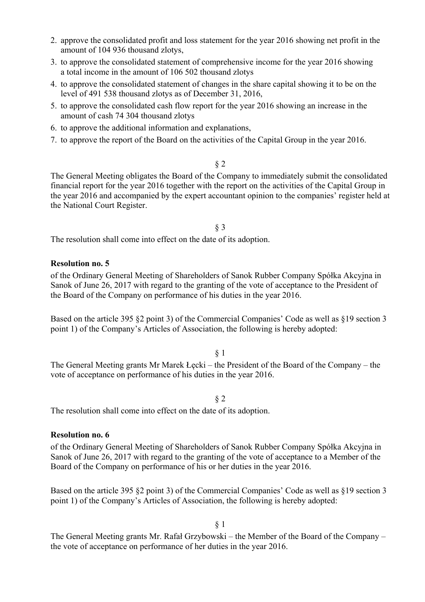- 2. approve the consolidated profit and loss statement for the year 2016 showing net profit in the amount of 104 936 thousand zlotys,
- 3. to approve the consolidated statement of comprehensive income for the year 2016 showing a total income in the amount of 106 502 thousand zlotys
- 4. to approve the consolidated statement of changes in the share capital showing it to be on the level of 491 538 thousand zlotys as of December 31, 2016,
- 5. to approve the consolidated cash flow report for the year 2016 showing an increase in the amount of cash 74 304 thousand zlotys
- 6. to approve the additional information and explanations,
- 7. to approve the report of the Board on the activities of the Capital Group in the year 2016.

§ 2

The General Meeting obligates the Board of the Company to immediately submit the consolidated financial report for the year 2016 together with the report on the activities of the Capital Group in the year 2016 and accompanied by the expert accountant opinion to the companies' register held at the National Court Register.

§ 3

The resolution shall come into effect on the date of its adoption.

#### **Resolution no. 5**

of the Ordinary General Meeting of Shareholders of Sanok Rubber Company Spółka Akcyjna in Sanok of June 26, 2017 with regard to the granting of the vote of acceptance to the President of the Board of the Company on performance of his duties in the year 2016.

Based on the article 395 §2 point 3) of the Commercial Companies' Code as well as §19 section 3 point 1) of the Company's Articles of Association, the following is hereby adopted:

#### § 1

The General Meeting grants Mr Marek Łęcki – the President of the Board of the Company – the vote of acceptance on performance of his duties in the year 2016.

§ 2

The resolution shall come into effect on the date of its adoption.

#### **Resolution no. 6**

of the Ordinary General Meeting of Shareholders of Sanok Rubber Company Spółka Akcyjna in Sanok of June 26, 2017 with regard to the granting of the vote of acceptance to a Member of the Board of the Company on performance of his or her duties in the year 2016.

Based on the article 395 §2 point 3) of the Commercial Companies' Code as well as §19 section 3 point 1) of the Company's Articles of Association, the following is hereby adopted:

§ 1

The General Meeting grants Mr. Rafał Grzybowski – the Member of the Board of the Company – the vote of acceptance on performance of her duties in the year 2016.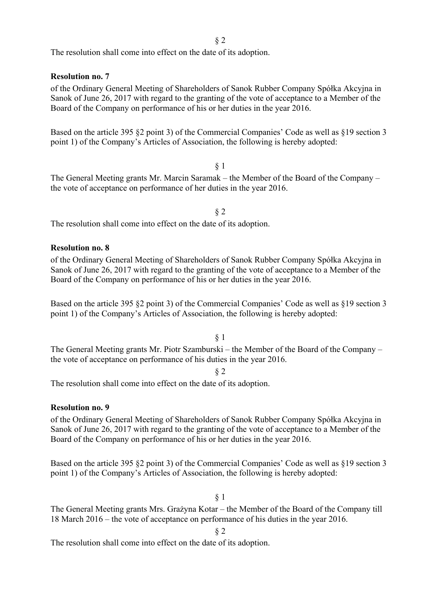The resolution shall come into effect on the date of its adoption.

**Resolution no. 7** 

of the Ordinary General Meeting of Shareholders of Sanok Rubber Company Spółka Akcyjna in Sanok of June 26, 2017 with regard to the granting of the vote of acceptance to a Member of the Board of the Company on performance of his or her duties in the year 2016.

Based on the article 395 §2 point 3) of the Commercial Companies' Code as well as §19 section 3 point 1) of the Company's Articles of Association, the following is hereby adopted:

§ 1 The General Meeting grants Mr. Marcin Saramak – the Member of the Board of the Company – the vote of acceptance on performance of her duties in the year 2016.

§ 2

The resolution shall come into effect on the date of its adoption.

#### **Resolution no. 8**

of the Ordinary General Meeting of Shareholders of Sanok Rubber Company Spółka Akcyjna in Sanok of June 26, 2017 with regard to the granting of the vote of acceptance to a Member of the Board of the Company on performance of his or her duties in the year 2016.

Based on the article 395 §2 point 3) of the Commercial Companies' Code as well as §19 section 3 point 1) of the Company's Articles of Association, the following is hereby adopted:

§ 1

The General Meeting grants Mr. Piotr Szamburski – the Member of the Board of the Company – the vote of acceptance on performance of his duties in the year 2016.

§ 2

The resolution shall come into effect on the date of its adoption.

#### **Resolution no. 9**

of the Ordinary General Meeting of Shareholders of Sanok Rubber Company Spółka Akcyjna in Sanok of June 26, 2017 with regard to the granting of the vote of acceptance to a Member of the Board of the Company on performance of his or her duties in the year 2016.

Based on the article 395 §2 point 3) of the Commercial Companies' Code as well as §19 section 3 point 1) of the Company's Articles of Association, the following is hereby adopted:

§ 1

The General Meeting grants Mrs. Grażyna Kotar – the Member of the Board of the Company till 18 March 2016 – the vote of acceptance on performance of his duties in the year 2016.

§ 2

The resolution shall come into effect on the date of its adoption.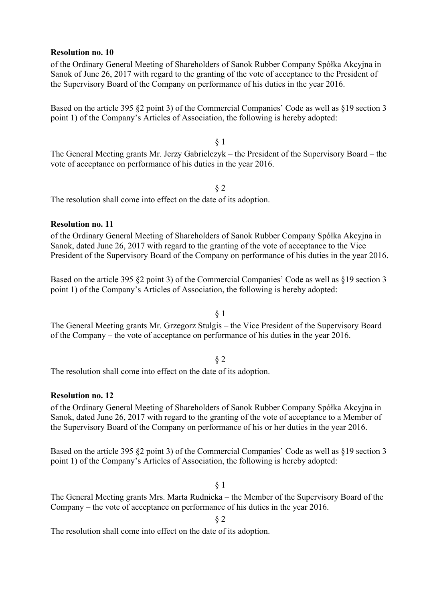#### **Resolution no. 10**

of the Ordinary General Meeting of Shareholders of Sanok Rubber Company Spółka Akcyjna in Sanok of June 26, 2017 with regard to the granting of the vote of acceptance to the President of the Supervisory Board of the Company on performance of his duties in the year 2016.

Based on the article 395 §2 point 3) of the Commercial Companies' Code as well as §19 section 3 point 1) of the Company's Articles of Association, the following is hereby adopted:

§ 1 The General Meeting grants Mr. Jerzy Gabrielczyk – the President of the Supervisory Board – the vote of acceptance on performance of his duties in the year 2016.

#### § 2

The resolution shall come into effect on the date of its adoption.

#### **Resolution no. 11**

of the Ordinary General Meeting of Shareholders of Sanok Rubber Company Spółka Akcyjna in Sanok, dated June 26, 2017 with regard to the granting of the vote of acceptance to the Vice President of the Supervisory Board of the Company on performance of his duties in the year 2016.

Based on the article 395 §2 point 3) of the Commercial Companies' Code as well as §19 section 3 point 1) of the Company's Articles of Association, the following is hereby adopted:

### § 1

The General Meeting grants Mr. Grzegorz Stulgis – the Vice President of the Supervisory Board of the Company – the vote of acceptance on performance of his duties in the year 2016.

#### § 2

The resolution shall come into effect on the date of its adoption.

#### **Resolution no. 12**

of the Ordinary General Meeting of Shareholders of Sanok Rubber Company Spółka Akcyjna in Sanok, dated June 26, 2017 with regard to the granting of the vote of acceptance to a Member of the Supervisory Board of the Company on performance of his or her duties in the year 2016.

Based on the article 395 §2 point 3) of the Commercial Companies' Code as well as §19 section 3 point 1) of the Company's Articles of Association, the following is hereby adopted:

§ 1

The General Meeting grants Mrs. Marta Rudnicka – the Member of the Supervisory Board of the Company – the vote of acceptance on performance of his duties in the year 2016.

§ 2

The resolution shall come into effect on the date of its adoption.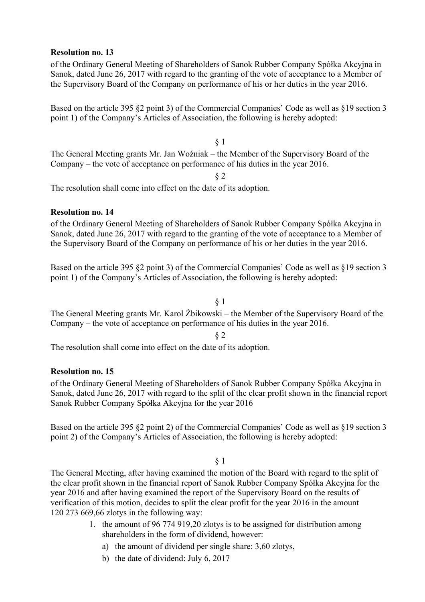#### **Resolution no. 13**

of the Ordinary General Meeting of Shareholders of Sanok Rubber Company Spółka Akcyjna in Sanok, dated June 26, 2017 with regard to the granting of the vote of acceptance to a Member of the Supervisory Board of the Company on performance of his or her duties in the year 2016.

Based on the article 395 §2 point 3) of the Commercial Companies' Code as well as §19 section 3 point 1) of the Company's Articles of Association, the following is hereby adopted:

§ 1 The General Meeting grants Mr. Jan Woźniak – the Member of the Supervisory Board of the Company – the vote of acceptance on performance of his duties in the year 2016.

§ 2

The resolution shall come into effect on the date of its adoption.

#### **Resolution no. 14**

of the Ordinary General Meeting of Shareholders of Sanok Rubber Company Spółka Akcyjna in Sanok, dated June 26, 2017 with regard to the granting of the vote of acceptance to a Member of the Supervisory Board of the Company on performance of his or her duties in the year 2016.

Based on the article 395 §2 point 3) of the Commercial Companies' Code as well as §19 section 3 point 1) of the Company's Articles of Association, the following is hereby adopted:

#### § 1

The General Meeting grants Mr. Karol Żbikowski – the Member of the Supervisory Board of the Company – the vote of acceptance on performance of his duties in the year 2016.

§ 2

The resolution shall come into effect on the date of its adoption.

## **Resolution no. 15**

of the Ordinary General Meeting of Shareholders of Sanok Rubber Company Spółka Akcyjna in Sanok, dated June 26, 2017 with regard to the split of the clear profit shown in the financial report Sanok Rubber Company Spółka Akcyjna for the year 2016

Based on the article 395 §2 point 2) of the Commercial Companies' Code as well as §19 section 3 point 2) of the Company's Articles of Association, the following is hereby adopted:

#### § 1

The General Meeting, after having examined the motion of the Board with regard to the split of the clear profit shown in the financial report of Sanok Rubber Company Spółka Akcyjna for the year 2016 and after having examined the report of the Supervisory Board on the results of verification of this motion, decides to split the clear profit for the year 2016 in the amount 120 273 669,66 zlotys in the following way:

- 1. the amount of 96 774 919,20 zlotys is to be assigned for distribution among shareholders in the form of dividend, however:
	- a) the amount of dividend per single share: 3,60 zlotys,
	- b) the date of dividend: July 6, 2017